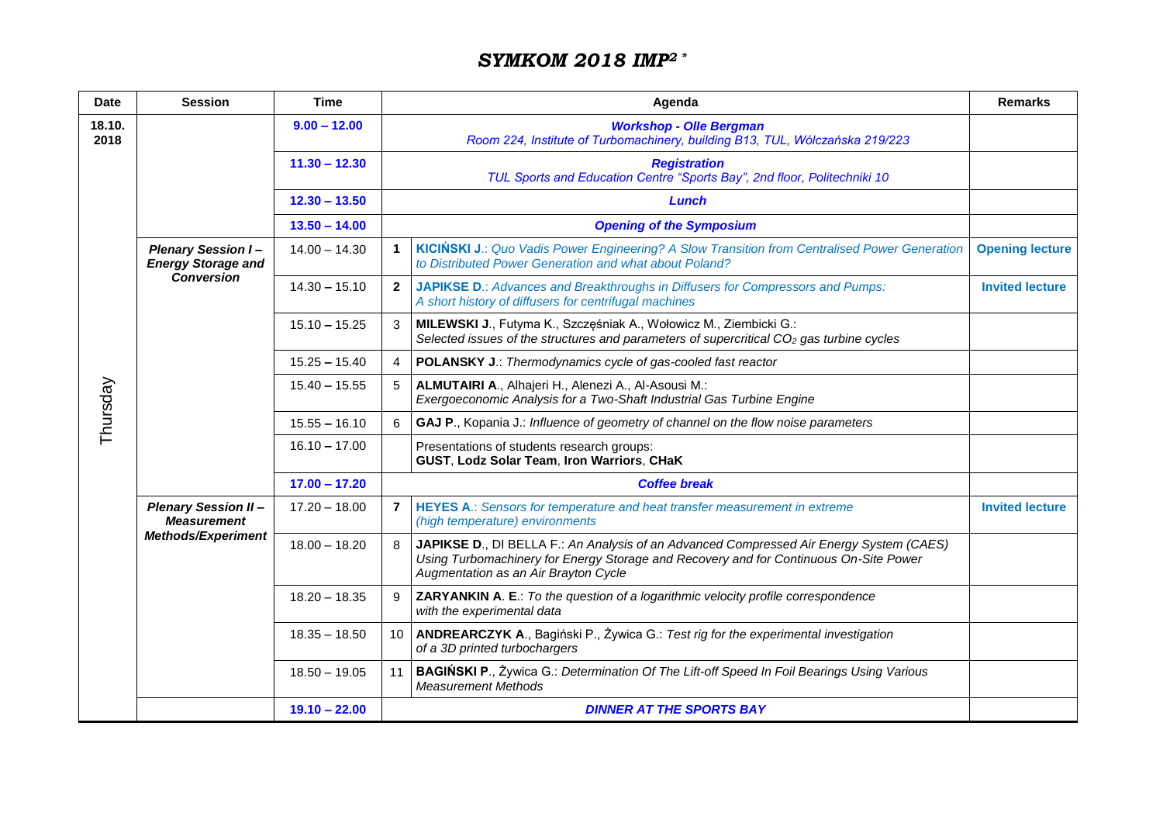## *SYMKOM 2018 IMP<sup>2</sup> \**

| <b>Date</b>    | <b>Session</b>                                                                | <b>Time</b>     |              | <b>Remarks</b>                                                                                                                                                                                                           |                        |  |
|----------------|-------------------------------------------------------------------------------|-----------------|--------------|--------------------------------------------------------------------------------------------------------------------------------------------------------------------------------------------------------------------------|------------------------|--|
| 18.10.<br>2018 |                                                                               | $9.00 - 12.00$  |              |                                                                                                                                                                                                                          |                        |  |
| Thursday       |                                                                               | $11.30 - 12.30$ |              | <b>Registration</b><br>TUL Sports and Education Centre "Sports Bay", 2nd floor, Politechniki 10                                                                                                                          |                        |  |
|                |                                                                               | $12.30 - 13.50$ |              | Lunch                                                                                                                                                                                                                    |                        |  |
|                |                                                                               | $13.50 - 14.00$ |              | <b>Opening of the Symposium</b>                                                                                                                                                                                          |                        |  |
|                | <b>Plenary Session I-</b><br><b>Energy Storage and</b><br><b>Conversion</b>   | $14.00 - 14.30$ | $\mathbf 1$  | KICIŃSKI J.: Quo Vadis Power Engineering? A Slow Transition from Centralised Power Generation<br>to Distributed Power Generation and what about Poland?                                                                  | <b>Opening lecture</b> |  |
|                |                                                                               | $14.30 - 15.10$ | $\mathbf{2}$ | JAPIKSE D.: Advances and Breakthroughs in Diffusers for Compressors and Pumps:<br>A short history of diffusers for centrifugal machines                                                                                  | <b>Invited lecture</b> |  |
|                |                                                                               | $15.10 - 15.25$ | 3            | MILEWSKI J., Futyma K., Szczęśniak A., Wołowicz M., Ziembicki G.:<br>Selected issues of the structures and parameters of supercritical $CO2$ gas turbine cycles                                                          |                        |  |
|                |                                                                               | $15.25 - 15.40$ | 4            | <b>POLANSKY J.: Thermodynamics cycle of gas-cooled fast reactor</b>                                                                                                                                                      |                        |  |
|                |                                                                               | $15.40 - 15.55$ | 5            | ALMUTAIRI A., Alhajeri H., Alenezi A., Al-Asousi M.:<br>Exergoeconomic Analysis for a Two-Shaft Industrial Gas Turbine Engine                                                                                            |                        |  |
|                |                                                                               | $15.55 - 16.10$ | 6            | GAJ P., Kopania J.: Influence of geometry of channel on the flow noise parameters                                                                                                                                        |                        |  |
|                |                                                                               | $16.10 - 17.00$ |              | Presentations of students research groups:<br>GUST, Lodz Solar Team, Iron Warriors, CHaK                                                                                                                                 |                        |  |
|                |                                                                               | $17.00 - 17.20$ |              | <b>Coffee break</b>                                                                                                                                                                                                      |                        |  |
|                | <b>Plenary Session II-</b><br><b>Measurement</b><br><b>Methods/Experiment</b> | $17.20 - 18.00$ |              | 7   HEYES A.: Sensors for temperature and heat transfer measurement in extreme<br>(high temperature) environments                                                                                                        | <b>Invited lecture</b> |  |
|                |                                                                               | $18.00 - 18.20$ | 8            | JAPIKSE D., DI BELLA F.: An Analysis of an Advanced Compressed Air Energy System (CAES)<br>Using Turbomachinery for Energy Storage and Recovery and for Continuous On-Site Power<br>Augmentation as an Air Brayton Cycle |                        |  |
|                |                                                                               | $18.20 - 18.35$ | 9            | <b>ZARYANKIN A. E.:</b> To the question of a logarithmic velocity profile correspondence<br>with the experimental data                                                                                                   |                        |  |
|                |                                                                               | $18.35 - 18.50$ |              | 10   ANDREARCZYK A., Bagiński P., Żywica G.: Test rig for the experimental investigation<br>of a 3D printed turbochargers                                                                                                |                        |  |
|                |                                                                               | $18.50 - 19.05$ |              | 11   BAGIŃSKI P., Żywica G.: Determination Of The Lift-off Speed In Foil Bearings Using Various<br><b>Measurement Methods</b>                                                                                            |                        |  |
|                |                                                                               | $19.10 - 22.00$ |              | <b>DINNER AT THE SPORTS BAY</b>                                                                                                                                                                                          |                        |  |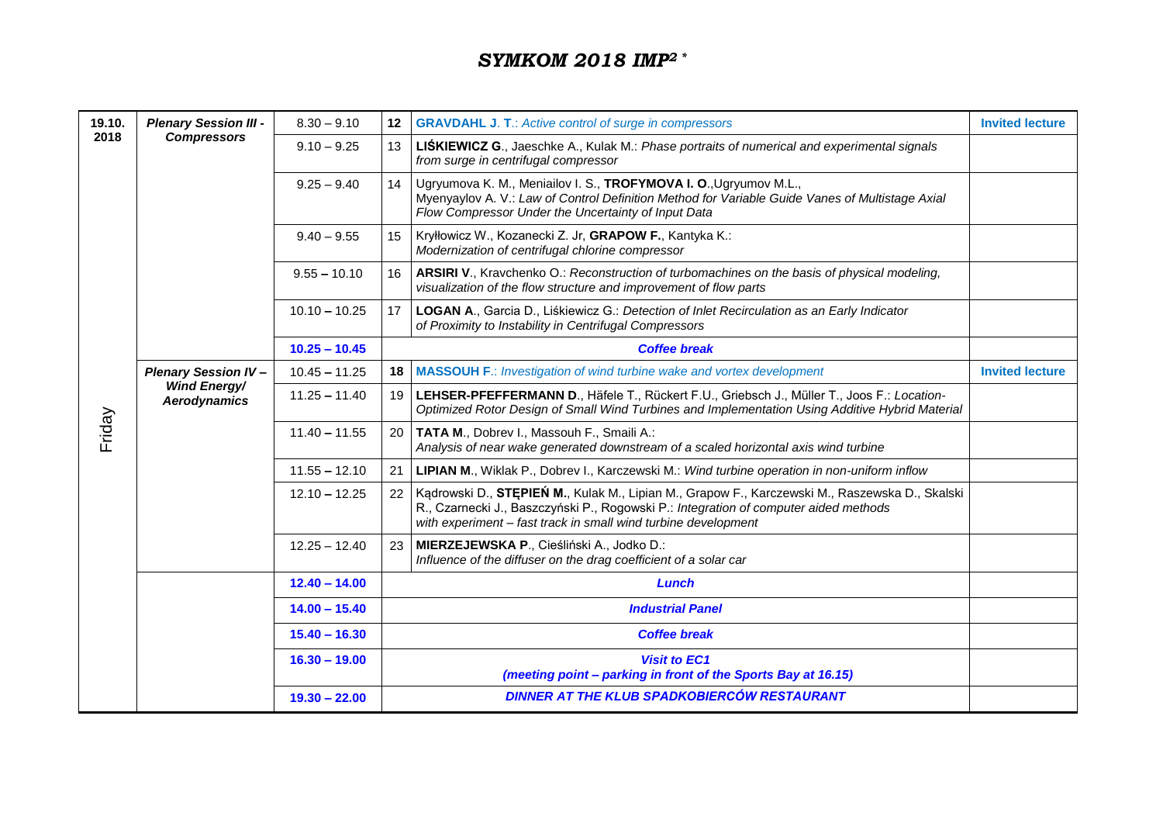## *SYMKOM 2018 IMP<sup>2</sup> \**

| 19.10.         | <b>Plenary Session III -</b>                                      | $8.30 - 9.10$   |                 | <b>12 GRAVDAHL J. T.: Active control of surge in compressors</b>                                                                                                                                                                                              | <b>Invited lecture</b> |
|----------------|-------------------------------------------------------------------|-----------------|-----------------|---------------------------------------------------------------------------------------------------------------------------------------------------------------------------------------------------------------------------------------------------------------|------------------------|
| 2018<br>Friday | <b>Compressors</b>                                                | $9.10 - 9.25$   | 13 <sup>1</sup> | LIŚKIEWICZ G., Jaeschke A., Kulak M.: Phase portraits of numerical and experimental signals<br>from surge in centrifugal compressor                                                                                                                           |                        |
|                |                                                                   | $9.25 - 9.40$   |                 | 14   Ugryumova K. M., Meniailov I. S., TROFYMOVA I. O., Ugryumov M.L.,<br>Myenyaylov A. V.: Law of Control Definition Method for Variable Guide Vanes of Multistage Axial<br>Flow Compressor Under the Uncertainty of Input Data                              |                        |
|                |                                                                   | $9.40 - 9.55$   |                 | 15   Kryłłowicz W., Kozanecki Z. Jr, GRAPOW F., Kantyka K.:<br>Modernization of centrifugal chlorine compressor                                                                                                                                               |                        |
|                |                                                                   | $9.55 - 10.10$  |                 | 16   ARSIRI V., Kravchenko O.: Reconstruction of turbomachines on the basis of physical modeling,<br>visualization of the flow structure and improvement of flow parts                                                                                        |                        |
|                |                                                                   | $10.10 - 10.25$ |                 | 17   LOGAN A., Garcia D., Liśkiewicz G.: Detection of Inlet Recirculation as an Early Indicator<br>of Proximity to Instability in Centrifugal Compressors                                                                                                     |                        |
|                |                                                                   | $10.25 - 10.45$ |                 | <b>Coffee break</b>                                                                                                                                                                                                                                           |                        |
|                | <b>Plenary Session IV-</b><br><b>Wind Energy/</b><br>Aerodynamics | $10.45 - 11.25$ | 18              | <b>MASSOUH F.: Investigation of wind turbine wake and vortex development</b>                                                                                                                                                                                  | <b>Invited lecture</b> |
|                |                                                                   | $11.25 - 11.40$ |                 | 19   LEHSER-PFEFFERMANN D., Häfele T., Rückert F.U., Griebsch J., Müller T., Joos F.: Location-<br>Optimized Rotor Design of Small Wind Turbines and Implementation Using Additive Hybrid Material                                                            |                        |
|                |                                                                   | $11.40 - 11.55$ |                 | 20   TATA M., Dobrev I., Massouh F., Smaili A.:<br>Analysis of near wake generated downstream of a scaled horizontal axis wind turbine                                                                                                                        |                        |
|                |                                                                   | $11.55 - 12.10$ |                 | 21   LIPIAN M., Wiklak P., Dobrev I., Karczewski M.: Wind turbine operation in non-uniform inflow                                                                                                                                                             |                        |
|                |                                                                   | $12.10 - 12.25$ |                 | 22   Kądrowski D., STEPIEŃ M., Kulak M., Lipian M., Grapow F., Karczewski M., Raszewska D., Skalski<br>R., Czarnecki J., Baszczyński P., Rogowski P.: Integration of computer aided methods<br>with experiment - fast track in small wind turbine development |                        |
|                |                                                                   | $12.25 - 12.40$ |                 | 23 MIERZEJEWSKA P., Cieśliński A., Jodko D.:<br>Influence of the diffuser on the drag coefficient of a solar car                                                                                                                                              |                        |
|                |                                                                   | $12.40 - 14.00$ |                 | Lunch                                                                                                                                                                                                                                                         |                        |
|                |                                                                   | $14.00 - 15.40$ |                 | <b>Industrial Panel</b>                                                                                                                                                                                                                                       |                        |
|                |                                                                   | $15.40 - 16.30$ |                 | <b>Coffee break</b>                                                                                                                                                                                                                                           |                        |
|                |                                                                   | $16.30 - 19.00$ |                 | <b>Visit to EC1</b><br>(meeting point - parking in front of the Sports Bay at 16.15)                                                                                                                                                                          |                        |
|                |                                                                   | $19.30 - 22.00$ |                 | DINNER AT THE KLUB SPADKOBIERCÓW RESTAURANT                                                                                                                                                                                                                   |                        |